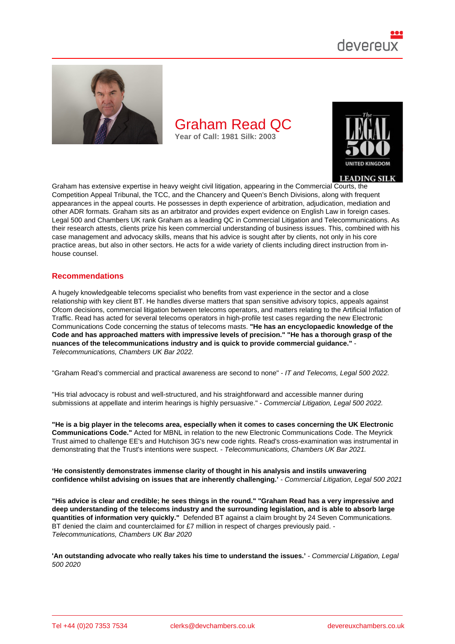

Graham has extensive expertise in heavy weight civil litigation, appearing in the Commercial Courts, the Competition Appeal Tribunal, the TCC, and the Chancery and Queen's Bench Divisions, along with frequent appearances in the appeal courts. He possesses in depth experience of arbitration, adjudication, mediation and other ADR formats. Graham sits as an arbitrator and provides expert evidence on English Law in foreign cases. Legal 500 and Chambers UK rank Graham as a leading QC in Commercial Litigation and Telecommunications. As their research attests, clients prize his keen commercial understanding of business issues. This, combined with his case management and advocacy skills, means that his advice is sought after by clients, not only in his core practice areas, but also in other sectors. He acts for a wide variety of clients including direct instruction from inhouse counsel.

### Recommendations

A hugely knowledgeable telecoms specialist who benefits from vast experience in the sector and a close relationship with key client BT. He handles diverse matters that span sensitive advisory topics, appeals against Ofcom decisions, commercial litigation between telecoms operators, and matters relating to the Artificial Inflation of Traffic. Read has acted for several telecoms operators in high-profile test cases regarding the new Electronic Communications Code concerning the status of telecoms masts. "He has an encyclopaedic knowledge of the Code and has approached matters with impressive levels of precision." "He has a thorough grasp of the nuances of the telecommunications industry and is quick to provide commercial guidance." Telecommunications, Chambers UK Bar 2022.

"Graham Read's commercial and practical awareness are second to none" - IT and Telecoms, Legal 500 2022.

"His trial advocacy is robust and well-structured, and his straightforward and accessible manner during submissions at appellate and interim hearings is highly persuasive." - Commercial Litigation, Legal 500 2022.

"He is a big player in the telecoms area, especially when it comes to cases concerning the UK Electronic Communications Code." Acted for MBNL in relation to the new Electronic Communications Code. The Meyrick Trust aimed to challenge EE's and Hutchison 3G's new code rights. Read's cross-examination was instrumental in demonstrating that the Trust's intentions were suspect. - Telecommunications, Chambers UK Bar 2021.

'He consistently demonstrates immense clarity of thought in his analysis and instils unwavering<br>
confidence whilst advising on issues that are inherently challenging.' [13] - Commercial Litigation, Legal 500 confidence whilst advising on issues that are inherently challenging.'

"His advice is clear and credible; he sees things in the round." "Graham Read has a very impressive and deep understanding of the telecoms industry and the surrounding legislation, and is able to absorb large quantities of information very quickly." Defended BT against a claim brought by 24 Seven Communications. BT denied the claim and counterclaimed for £7 million in respect of charges previously paid. -Telecommunications, Chambers UK Bar 2020

'An outstanding advocate who really takes his time to understand the issues.' - Commercial Litigation, Legal 500 2020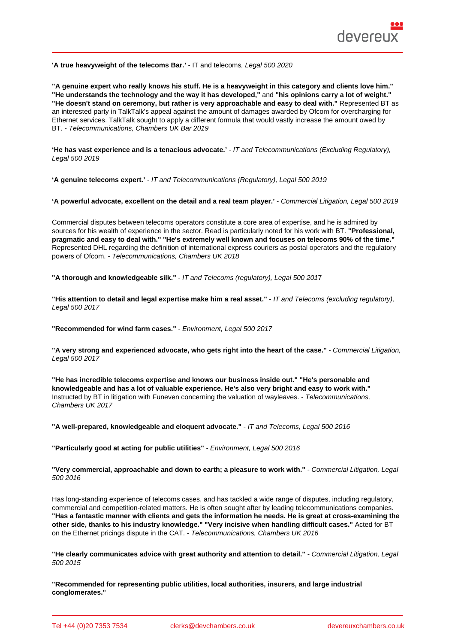'A true heavyweight of the telecoms Bar.' - IT and telecoms, Legal 500 2020

"A genuine expert who really knows his stuff. He is a heavyweight in this category and clients love him." "He understands the technology and the way it has developed," and "his opinions carry a lot of weight." "He doesn't stand on ceremony, but rather is very approachable and easy to deal with." Represented BT as an interested party in TalkTalk's appeal against the amount of damages awarded by Ofcom for overcharging for Ethernet services. TalkTalk sought to apply a different formula that would vastly increase the amount owed by BT. - Telecommunications, Chambers UK Bar 2019

'He has vast experience and is a tenacious advocate.' - IT and Telecommunications (Excluding Regulatory), Legal 500 2019

'A genuine telecoms expert.' - IT and Telecommunications (Regulatory), Legal 500 2019

'A powerful advocate, excellent on the detail and a real team player.' - Commercial Litigation, Legal 500 2019

Commercial disputes between telecoms operators constitute a core area of expertise, and he is admired by sources for his wealth of experience in the sector. Read is particularly noted for his work with BT. "Professional, pragmatic and easy to deal with." "He's extremely well known and focuses on telecoms 90% of the time." Represented DHL regarding the definition of international express couriers as postal operators and the regulatory powers of Ofcom. - Telecommunications, Chambers UK 2018

"A thorough and knowledgeable silk." - IT and Telecoms (regulatory), Legal 500 2017

"His attention to detail and legal expertise make him a real asset." - IT and Telecoms (excluding regulatory), Legal 500 2017

"Recommended for wind farm cases." - Environment, Legal 500 2017

"A very strong and experienced advocate, who gets right into the heart of the case." - Commercial Litigation, Legal 500 2017

"He has incredible telecoms expertise and knows our business inside out." "He's personable and knowledgeable and has a lot of valuable experience. He's also very bright and easy to work with." Instructed by BT in litigation with Funeven concerning the valuation of wayleaves. - Telecommunications, Chambers UK 2017

"A well-prepared, knowledgeable and eloquent advocate." - IT and Telecoms, Legal 500 2016

"Particularly good at acting for public utilities" - Environment, Legal 500 2016

"Very commercial, approachable and down to earth; a pleasure to work with." - Commercial Litigation, Legal 500 2016

Has long-standing experience of telecoms cases, and has tackled a wide range of disputes, including regulatory, commercial and competition-related matters. He is often sought after by leading telecommunications companies. "Has a fantastic manner with clients and gets the information he needs. He is great at cross-examining the other side, thanks to his industry knowledge." "Very incisive when handling difficult cases." Acted for BT on the Ethernet pricings dispute in the CAT. - Telecommunications, Chambers UK 2016

"He clearly communicates advice with great authority and attention to detail." - Commercial Litigation, Legal 500 2015

"Recommended for representing public utilities, local authorities, insurers, and large industrial conglomerates."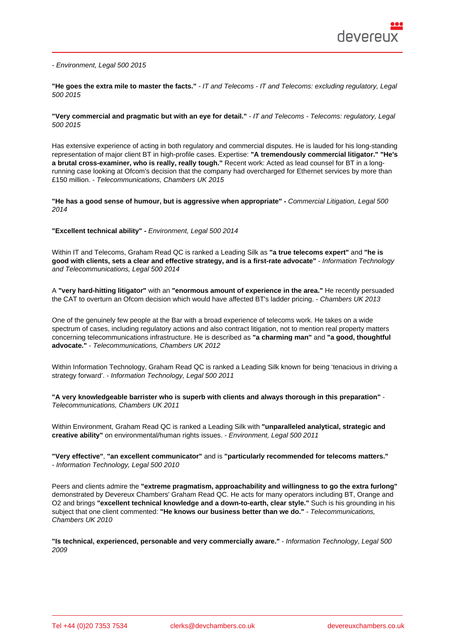- Environment, Legal 500 2015

"He goes the extra mile to master the facts." - IT and Telecoms - IT and Telecoms: excluding regulatory, Legal 500 2015

"Very commercial and pragmatic but with an eye for detail." - IT and Telecoms - Telecoms: regulatory, Legal 500 2015

Has extensive experience of acting in both regulatory and commercial disputes. He is lauded for his long-standing representation of major client BT in high-profile cases. Expertise: "A tremendously commercial litigator." "He's a brutal cross-examiner, who is really, really tough." Recent work: Acted as lead counsel for BT in a longrunning case looking at Ofcom's decision that the company had overcharged for Ethernet services by more than £150 million. - Telecommunications, Chambers UK 2015

"He has a good sense of humour, but is aggressive when appropriate" - Commercial Litigation, Legal 500 2014

"Excellent technical ability" - Environment, Legal 500 2014

Within IT and Telecoms, Graham Read QC is ranked a Leading Silk as "a true telecoms expert" and "he is good with clients, sets a clear and effective strategy, and is a first-rate advocate" - Information Technology and Telecommunications, Legal 500 2014

A "very hard-hitting litigator" with an "enormous amount of experience in the area." He recently persuaded the CAT to overturn an Ofcom decision which would have affected BT's ladder pricing. - Chambers UK 2013

One of the genuinely few people at the Bar with a broad experience of telecoms work. He takes on a wide spectrum of cases, including regulatory actions and also contract litigation, not to mention real property matters concerning telecommunications infrastructure. He is described as "a charming man" and "a good, thoughtful advocate." - Telecommunications, Chambers UK 2012

Within Information Technology, Graham Read QC is ranked a Leading Silk known for being 'tenacious in driving a strategy forward'. - Information Technology, Legal 500 2011

"A very knowledgeable barrister who is superb with clients and always thorough in this preparation" - Telecommunications, Chambers UK 2011

Within Environment, Graham Read QC is ranked a Leading Silk with "unparalleled analytical, strategic and creative ability" on environmental/human rights issues. - Environment, Legal 500 2011

"Very effective" , "an excellent communicator" and is "particularly recommended for telecoms matters." - Information Technology, Legal 500 2010

Peers and clients admire the "extreme pragmatism, approachability and willingness to go the extra furlong" demonstrated by Devereux Chambers' Graham Read QC. He acts for many operators including BT, Orange and O2 and brings "excellent technical knowledge and a down-to-earth, clear style." Such is his grounding in his subject that one client commented: "He knows our business better than we do." - Telecommunications, Chambers UK 2010

"Is technical, experienced, personable and very commercially aware." - Information Technology, Legal 500 2009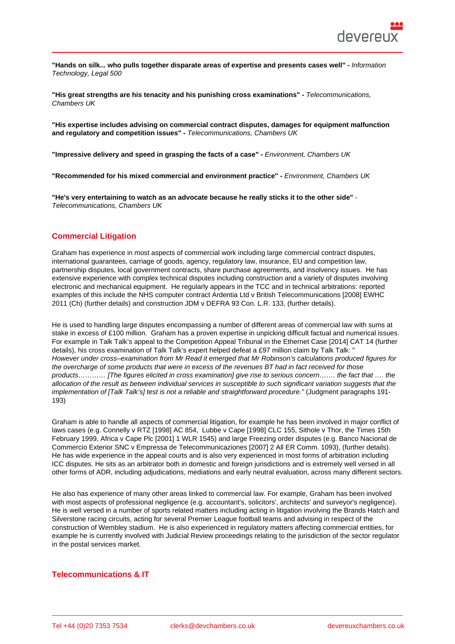"Hands on silk... who pulls together disparate areas of expertise and presents cases well" - Information Technology, Legal 500

"His great strengths are his tenacity and his punishing cross examinations" - Telecommunications, Chambers UK

"His expertise includes advising on commercial contract disputes, damages for equipment malfunction and regulatory and competition issues" - Telecommunications, Chambers UK

"Impressive delivery and speed in grasping the facts of a case" - Environment, Chambers UK

"Recommended for his mixed commercial and environment practice" - Environment, Chambers UK

"He's very entertaining to watch as an advocate because he really sticks it to the other side" - Telecommunications, Chambers UK

# Commercial Litigation

Graham has experience in most aspects of commercial work including large commercial contract disputes, international guarantees, carriage of goods, agency, regulatory law, insurance, EU and competition law, partnership disputes, local government contracts, share purchase agreements, and insolvency issues. He has extensive experience with complex technical disputes including construction and a variety of disputes involving electronic and mechanical equipment. He regularly appears in the TCC and in technical arbitrations: reported examples of this include the NHS computer contract Ardentia Ltd v British Telecommunications [2008] EWHC 2011 (Ch) (further details) and construction JDM v DEFRA 93 Con. L.R. 133, (further details).

He is used to handling large disputes encompassing a number of different areas of commercial law with sums at stake in excess of £100 million. Graham has a proven expertise in unpicking difficult factual and numerical issues. For exampl[e in Talk Talk'](http://bit.ly/38EzByX)s appeal to the Competition Appeal Tribunal in the E[thernet Case \[2](http://bit.ly/39IzmEC)014] CAT 14 (further details), his cross examination of Talk Talk's expert helped defeat a £97 million claim by Talk Talk: " However under cross–examination from Mr Read it emerged that Mr Robinson's calculations produced figures for the overcharge of some products that were in excess of the revenues BT had in fact received for those products………… [The figures elicited in cross examination] give rise to serious concern……. the fact that […. the](http://www.catribunal.org.uk/238/Judgments.html)  [allocat](http://www.catribunal.org.uk/238/Judgments.html)ion of the result as between individual services in susceptible to such significant variation suggests that the implementation of [Talk Talk's] test is not a reliable and straightforward procedure." (Judgment paragraphs 191- 193)

Graham is able to handle all aspects of commercial litigation, for example he has been involved in major conflict of laws cases (e.g. Connelly v RTZ [1998] AC 854, Lubbe v Cape [1998] CLC 155, Sithole v Thor, the Times 15th February 1999, Africa v Cape Plc [2001] 1 WLR 1545) and large Freezing order disputes (e.g. Banco Nacional de Commercio Exterior SNC v Empressa de Telecommunicaziones [2007] 2 All ER Comm. 1093), (further details). He has wide experience in the appeal courts and is also very experienced in most forms of arbitration including ICC disputes. He sits as an arbitrator both in domestic and foreign jurisdictions and is extremely well versed in all other forms of ADR, including adjudications, mediations and early neutral evaluation, across many different sectors.

He also has experience of many other areas linked to commercial law. For example, Graham has been involved with most aspects of professional negligence (e.g. accountant's, solicitors', architects' and surveyor's negligence). He is well versed in a number of sports related matters including acting in litigation involving the Brands Hatch and Silverstone racing circuits, acting for several Premier League football teams and advising in respect of the construction of Wembley stadium. He is also experienced in regulatory matters affecting commercial entities, for example he is currently involved with Judicial Review proceedings relating to the jurisdiction of the sector regulator in the postal services market.

## Telecommunications & IT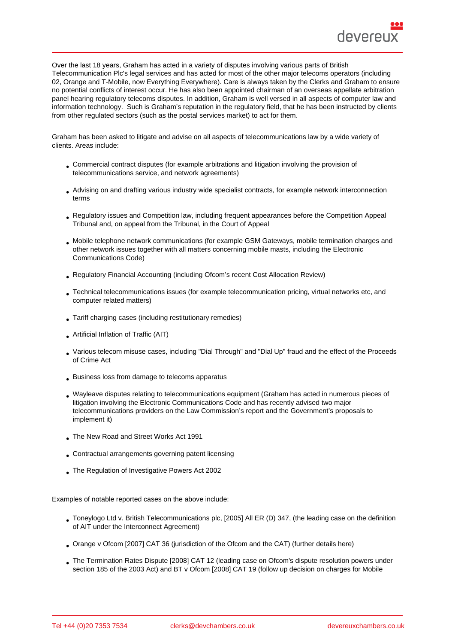Over the last 18 years, Graham has acted in a variety of disputes involving various parts of British Telecommunication Plc's legal services and has acted for most of the other major telecoms operators (including 02, Orange and T-Mobile, now Everything Everywhere). Care is always taken by the Clerks and Graham to ensure no potential conflicts of interest occur. He has also been appointed chairman of an overseas appellate arbitration panel hearing regulatory telecoms disputes. In addition, Graham is well versed in all aspects of computer law and information technology. Such is Graham's reputation in the regulatory field, that he has been instructed by clients from other regulated sectors (such as the postal services market) to act for them.

Graham has been asked to litigate and advise on all aspects of telecommunications law by a wide variety of clients. Areas include:

- Commercial contract disputes (for example arbitrations and litigation involving the provision of telecommunications service, and network agreements)
- Advising on and drafting various industry wide specialist contracts, for example network interconnection terms
- Regulatory issues and Competition law, including frequent appearances before the Competition Appeal Tribunal and, on appeal from the Tribunal, in the Court of Appeal
- Mobile telephone network communications (for example GSM Gateways, mobile termination charges and other network issues together with all matters concerning mobile masts, including the Electronic Communications Code)
- Regulatory Financial Accounting (including Ofcom's recent Cost Allocation Review)
- Technical telecommunications issues (for example telecommunication pricing, virtual networks etc, and computer related matters)
- Tariff charging cases (including restitutionary remedies)
- Artificial Inflation of Traffic (AIT)
- Various telecom misuse cases, including "Dial Through" and "Dial Up" fraud and the effect of the Proceeds of Crime Act
- Business loss from damage to telecoms apparatus
- Wayleave disputes relating to telecommunications equipment (Graham has acted in numerous pieces of litigation involving the Electronic Communications Code and has recently advised two major telecommunications providers on the Law Commission's report and the Government's proposals to implement it)
- The New Road and Street Works Act 1991
- Contractual arrangements governing patent licensing
- The Regulation of Investigative Powers Act 2002

Examples of notable reported cases on the above include:

- Toneylogo Ltd v. British Telecommunications plc, [2005] All ER (D) 347, (the leading case on the definition of AIT under the Interconnect Agreement)
- Orange v Ofcom [2007] CAT 36 (jurisdiction of the Ofcom and the CAT) (further details here)
- The Termination Rates Dispute [2008] CAT 12 (leading case on Ofcom's dispute resolution powers under section 185 of the 2003 Act) and BT v Ofcom [2008] CAT 19 (follow up decision on charges for Mobile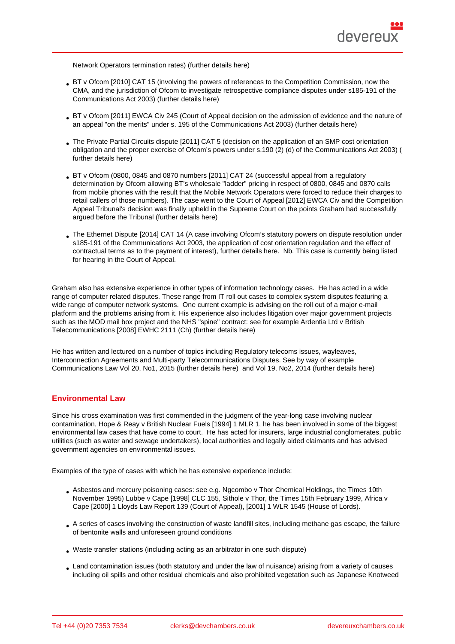Network Operators termination rates) (further details here)

- BT v Ofcom [2010] CAT 15 (involving the powers of references to the Competition Commission, now the CMA, and the jurisdiction of Ofcom to investigate retrospective compliance disputes under s185-191 of the Communications Act 2003) (further de[tails here\)](http://bit.ly/2TGni0T)
- BT v Ofcom [2011] EWCA Civ 245 (Court of Appeal decision on the admission of evidence and the nature of an appeal "on the merits" under s. 195 of the Communications Act 2003) (further details here)
- The Private Partial Circuits [dispute \[2011\] CAT 5](http://bit.ly/2TFB6IY) (decision on the application of an SMP cost orientation obligation and the proper exercise of Ofcom's powers under s.190 (2) (d) of the Communications Act 2003) ( further details here)
- BT v Ofcom (0800, 0845 and 0870 numbers [2011] CAT 24 (successful appeal from a regulatory determination by Ofcom allowing BT's wholesale "ladder" pricing in respect of 0800, 0845 and 0870 calls [from mobile phones](http://bit.ly/2xxm9Ap) with the result that the Mobile Network Operators were forced to reduce their charges to retail callers of those numbers). The case went to the Court of Appeal [2012] EWCA Civ and the Competition Appeal Tribunal's decision was finally upheld in the Supreme Court on the points Graham had successfully argued before the Tribunal (further details here)
- The Ethernet Dispute [2014] CAT 14 (A case involving Ofcom's statutory powers on dispute resolution under s185-191 of the Communications Act 2003, the application of cost orientation regulation and the effect of contractual terms as to the [payment of interest\)](http://www.catribunal.org.uk/238-7221/Judgment.html), further details here. Nb. This case is currently being listed for hearing in the Court of Appeal.

Graham also has extensive experience in other types of information technology cases. He has acted in a wide range of computer related disputes. These range from IT roll out cases to complex system disputes featuring a wide range of computer network systems. One current example is advising on the roll out of a major e-mail platform and the problems arising from it. His experience also includes litigation over major government projects such as the MOD mail box project and the NHS "spine" contract: see for example Ardentia Ltd v British Telecommunications [2008] EWHC 2111 (Ch) (further details here)

He has written and lectured on a number of topics including Regulatory telecoms issues, wayleaves, Interconnection Agreements and Multi-party Telecommunications Disputes. See by way of example Communications Law Vol 20, No1, 2015 (furth[er details here\) and](http://bit.ly/38EzByX) Vol 19, No2, 2014 (further details here)

## Environmental Law

Since his cross examination was first commended in the judgment of the year-long case involving nuclear contamination, Hope & Reay v British Nuclear Fuels [1994] 1 MLR 1, he has been involved in some of the biggest environmental law cases that have come to court. He has acted for insurers, large industrial conglomerates, public utilities (such as water and sewage undertakers), local authorities and legally aided claimants and has advised government agencies on environmental issues.

Examples of the type of cases with which he has extensive experience include:

- Asbestos and mercury poisoning cases: see e.g. Ngcombo v Thor Chemical Holdings, the Times 10th November 1995) Lubbe v Cape [1998] CLC 155, Sithole v Thor, the Times 15th February 1999, Africa v Cape [2000] 1 Lloyds Law Report 139 (Court of Appeal), [2001] 1 WLR 1545 (House of Lords).
- A series of cases involving the construction of waste landfill sites, including methane gas escape, the failure of bentonite walls and unforeseen ground conditions
- Waste transfer stations (including acting as an arbitrator in one such dispute)
- Land contamination issues (both statutory and under the law of nuisance) arising from a variety of causes including oil spills and other residual chemicals and also prohibited vegetation such as Japanese Knotweed